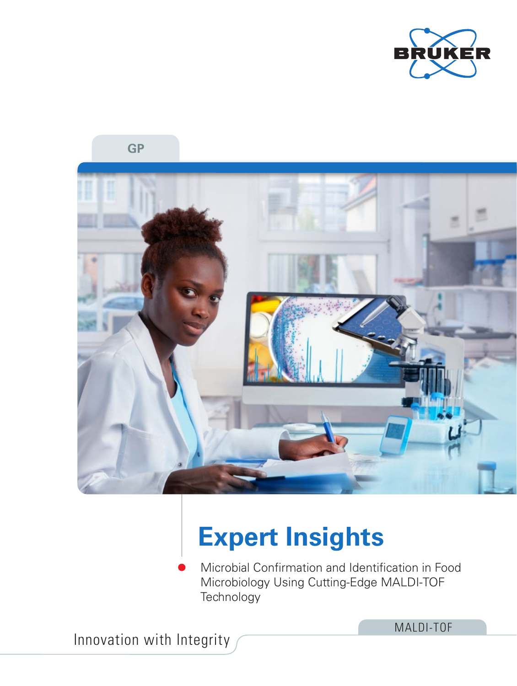





# **Expert Insights**

Microbial Confirmation and Identification in Food Microbiology Using Cutting-Edge MALDI-TOF **Technology** 

Innovation with Integrity

MALDI-TOF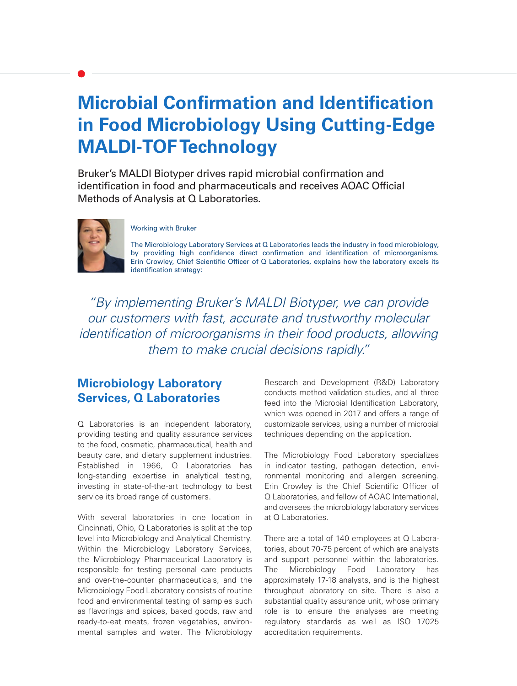## **Microbial Confirmation and Identification in Food Microbiology Using Cutting-Edge MALDI-TOF Technology**

Bruker's MALDI Biotyper drives rapid microbial confirmation and identification in food and pharmaceuticals and receives AOAC Official Methods of Analysis at Q Laboratories.



#### Working with Bruker

The Microbiology Laboratory Services at Q Laboratories leads the industry in food microbiology, by providing high confidence direct confirmation and identification of microorganisms. Erin Crowley, Chief Scientific Officer of Q Laboratories, explains how the laboratory excels its identification strategy:

"By implementing Bruker's MALDI Biotyper, we can provide our customers with fast, accurate and trustworthy molecular identification of microorganisms in their food products, allowing them to make crucial decisions rapidly."

## **Microbiology Laboratory Services, Q Laboratories**

Q Laboratories is an independent laboratory, providing testing and quality assurance services to the food, cosmetic, pharmaceutical, health and beauty care, and dietary supplement industries. Established in 1966, Q Laboratories has long-standing expertise in analytical testing, investing in state-of-the-art technology to best service its broad range of customers.

With several laboratories in one location in Cincinnati, Ohio, Q Laboratories is split at the top level into Microbiology and Analytical Chemistry. Within the Microbiology Laboratory Services, the Microbiology Pharmaceutical Laboratory is responsible for testing personal care products and over-the-counter pharmaceuticals, and the Microbiology Food Laboratory consists of routine food and environmental testing of samples such as flavorings and spices, baked goods, raw and ready-to-eat meats, frozen vegetables, environmental samples and water. The Microbiology

Research and Development (R&D) Laboratory conducts method validation studies, and all three feed into the Microbial Identification Laboratory, which was opened in 2017 and offers a range of customizable services, using a number of microbial techniques depending on the application.

The Microbiology Food Laboratory specializes in indicator testing, pathogen detection, environmental monitoring and allergen screening. Erin Crowley is the Chief Scientific Officer of Q Laboratories, and fellow of AOAC International, and oversees the microbiology laboratory services at Q Laboratories.

There are a total of 140 employees at Q Laboratories, about 70-75 percent of which are analysts and support personnel within the laboratories. The Microbiology Food Laboratory has approximately 17-18 analysts, and is the highest throughput laboratory on site. There is also a substantial quality assurance unit, whose primary role is to ensure the analyses are meeting regulatory standards as well as ISO 17025 accreditation requirements.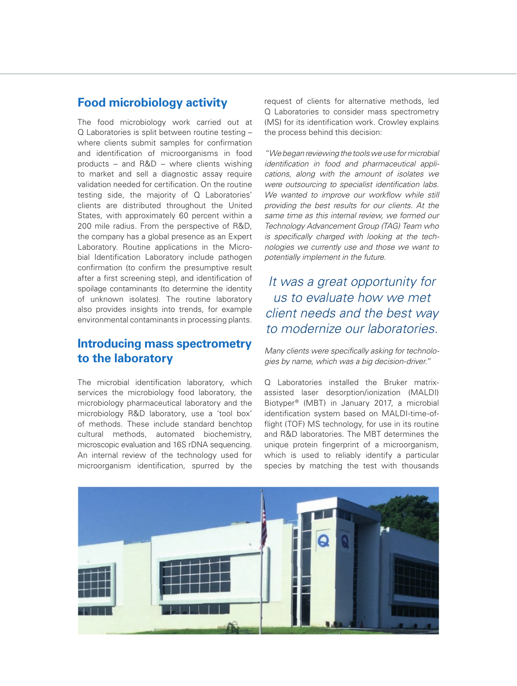## **Food microbiology activity**

The food microbiology work carried out at Q Laboratories is split between routine testing – where clients submit samples for confirmation and identification of microorganisms in food products – and R&D – where clients wishing to market and sell a diagnostic assay require validation needed for certification. On the routine testing side, the majority of Q Laboratories' clients are distributed throughout the United States, with approximately 60 percent within a 200 mile radius. From the perspective of R&D, the company has a global presence as an Expert Laboratory. Routine applications in the Microbial Identification Laboratory include pathogen confirmation (to confirm the presumptive result after a first screening step), and identification of spoilage contaminants (to determine the identity of unknown isolates). The routine laboratory also provides insights into trends, for example environmental contaminants in processing plants.

## **Introducing mass spectrometry to the laboratory**

The microbial identification laboratory, which services the microbiology food laboratory, the microbiology pharmaceutical laboratory and the microbiology R&D laboratory, use a 'tool box' of methods. These include standard benchtop cultural methods, automated biochemistry, microscopic evaluation and 16S rDNA sequencing. An internal review of the technology used for microorganism identification, spurred by the

request of clients for alternative methods, led Q Laboratories to consider mass spectrometry (MS) for its identification work. Crowley explains the process behind this decision:

*"We began reviewing the tools we use for microbial identification in food and pharmaceutical applications, along with the amount of isolates we were outsourcing to specialist identification labs. We wanted to improve our workflow while still providing the best results for our clients. At the same time as this internal review, we formed our Technology Advancement Group (TAG) Team who is specifically charged with looking at the technologies we currently use and those we want to potentially implement in the future.* 

## *It was a great opportunity for us to evaluate how we met client needs and the best way to modernize our laboratories.*

*Many clients were specifically asking for technologies by name, which was a big decision-driver."*

Q Laboratories installed the Bruker matrixassisted laser desorption/ionization (MALDI) Biotyper® (MBT) in January 2017, a microbial identification system based on MALDI-time-offlight (TOF) MS technology, for use in its routine and R&D laboratories. The MBT determines the unique protein fingerprint of a microorganism, which is used to reliably identify a particular species by matching the test with thousands

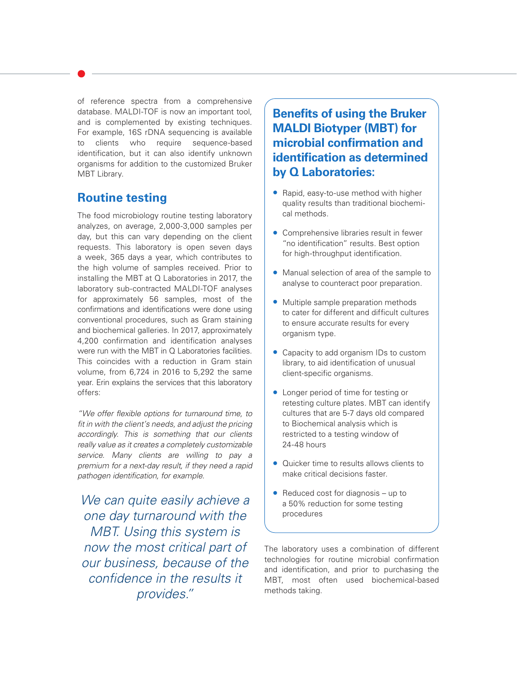of reference spectra from a comprehensive database. MALDI-TOF is now an important tool, and is complemented by existing techniques. For example, 16S rDNA sequencing is available to clients who require sequence-based identification, but it can also identify unknown organisms for addition to the customized Bruker MBT Library.

## **Routine testing**

The food microbiology routine testing laboratory analyzes, on average, 2,000-3,000 samples per day, but this can vary depending on the client requests. This laboratory is open seven days a week, 365 days a year, which contributes to the high volume of samples received. Prior to installing the MBT at Q Laboratories in 2017, the laboratory sub-contracted MALDI-TOF analyses for approximately 56 samples, most of the confirmations and identifications were done using conventional procedures, such as Gram staining and biochemical galleries. In 2017, approximately 4,200 confirmation and identification analyses were run with the MBT in Q Laboratories facilities. This coincides with a reduction in Gram stain volume, from 6,724 in 2016 to 5,292 the same year. Erin explains the services that this laboratory offers:

*"We offer flexible options for turnaround time, to fit in with the client's needs, and adjust the pricing accordingly. This is something that our clients really value as it creates a completely customizable service. Many clients are willing to pay a premium for a next-day result, if they need a rapid pathogen identification, for example.* 

*We can quite easily achieve a one day turnaround with the MBT. Using this system is now the most critical part of our business, because of the confidence in the results it provides."*

**Benefits of using the Bruker MALDI Biotyper (MBT) for microbial confirmation and identification as determined by Q Laboratories:**

- Rapid, easy-to-use method with higher quality results than traditional biochemical methods.
- Comprehensive libraries result in fewer "no identification" results. Best option for high-throughput identification.
- Manual selection of area of the sample to analyse to counteract poor preparation.
- Multiple sample preparation methods to cater for different and difficult cultures to ensure accurate results for every organism type.
- Capacity to add organism IDs to custom library, to aid identification of unusual client-specific organisms.
- Longer period of time for testing or retesting culture plates. MBT can identify cultures that are 5-7 days old compared to Biochemical analysis which is restricted to a testing window of 24-48 hours
- Quicker time to results allows clients to make critical decisions faster.
- Reduced cost for diagnosis up to a 50% reduction for some testing procedures

The laboratory uses a combination of different technologies for routine microbial confirmation and identification, and prior to purchasing the MBT, most often used biochemical-based methods taking.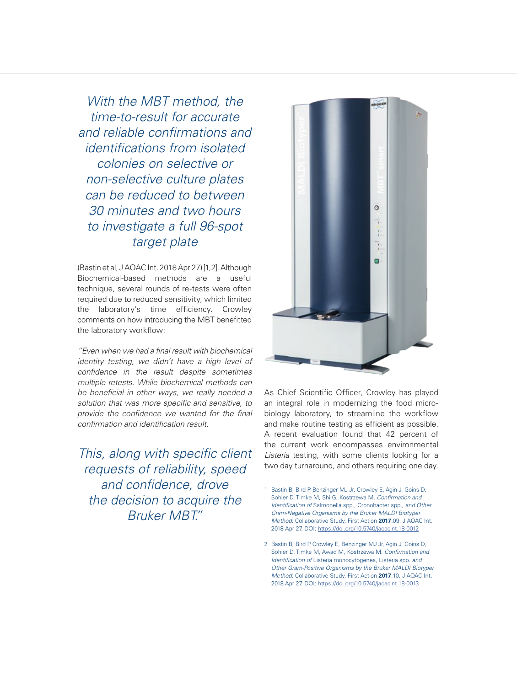*With the MBT method, the time-to-result for accurate and reliable confirmations and identifications from isolated colonies on selective or non-selective culture plates can be reduced to between 30 minutes and two hours to investigate a full 96-spot target plate* 

(Bastin et al, J AOAC Int. 2018 Apr 27) [1,2]. Although Biochemical-based methods are a useful technique, several rounds of re-tests were often required due to reduced sensitivity, which limited the laboratory's time efficiency. Crowley comments on how introducing the MBT benefitted the laboratory workflow:

*"Even when we had a final result with biochemical identity testing, we didn't have a high level of confidence in the result despite sometimes multiple retests. While biochemical methods can be beneficial in other ways, we really needed a solution that was more specific and sensitive, to provide the confidence we wanted for the final confirmation and identification result.* 

*This, along with specific client requests of reliability, speed and confidence, drove the decision to acquire the Bruker MBT."*



As Chief Scientific Officer, Crowley has played an integral role in modernizing the food microbiology laboratory, to streamline the workflow and make routine testing as efficient as possible. A recent evaluation found that 42 percent of the current work encompasses environmental *Listeria* testing, with some clients looking for a two day turnaround, and others requiring one day.

- 1 Bastin B, Bird P, Benzinger MJ Jr, Crowley E, Agin J, Goins D, Sohier D, Timke M, Shi G, Kostrzewa M. *Confirmation and Identification of* Salmonella spp*.,* Cronobacter spp*., and Other Gram-Negative Organisms by the Bruker MALDI Biotyper Method*: Collaborative Study, First Action **2017**.09. J AOAC Int. 2018 Apr 27. DOI: https://doi.org/10.5740/jaoacint.18-0012
- 2 Bastin B, Bird P, Crowley E, Benzinger MJ Jr, Agin J, Goins D, Sohier D, Timke M, Awad M, Kostrzewa M. *Confirmation and Identification of* Listeria monocytogenes*,* Listeria spp*. and Other Gram-Positive Organisms by the Bruker MALDI Biotyper Method*: Collaborative Study, First Action **2017**.10. J AOAC Int. 2018 Apr 27. DOI: https://doi.org/10.5740/jaoacint.18-0013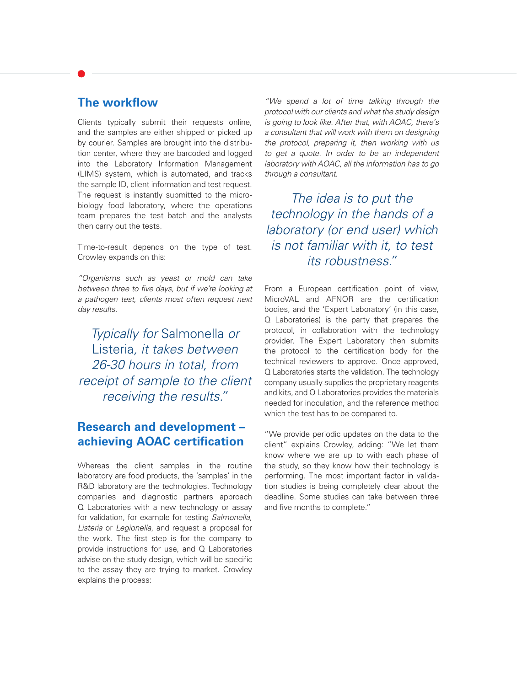## **The workflow**

Clients typically submit their requests online, and the samples are either shipped or picked up by courier. Samples are brought into the distribution center, where they are barcoded and logged into the Laboratory Information Management (LIMS) system, which is automated, and tracks the sample ID, client information and test request. The request is instantly submitted to the microbiology food laboratory, where the operations team prepares the test batch and the analysts then carry out the tests.

Time-to-result depends on the type of test. Crowley expands on this:

*"Organisms such as yeast or mold can take between three to five days, but if we're looking at a pathogen test, clients most often request next day results.* 

*Typically for* Salmonella *or*  Listeria*, it takes between 26-30 hours in total, from receipt of sample to the client receiving the results."*

## **Research and development – achieving AOAC certification**

Whereas the client samples in the routine laboratory are food products, the 'samples' in the R&D laboratory are the technologies. Technology companies and diagnostic partners approach Q Laboratories with a new technology or assay for validation, for example for testing *Salmonella*, *Listeria* or *Legionella*, and request a proposal for the work. The first step is for the company to provide instructions for use, and Q Laboratories advise on the study design, which will be specific to the assay they are trying to market. Crowley explains the process:

*"We spend a lot of time talking through the protocol with our clients and what the study design is going to look like. After that, with AOAC, there's a consultant that will work with them on designing the protocol, preparing it, then working with us to get a quote. In order to be an independent laboratory with AOAC, all the information has to go through a consultant.* 

*The idea is to put the technology in the hands of a laboratory (or end user) which is not familiar with it, to test its robustness."*

From a European certification point of view, MicroVAL and AFNOR are the certification bodies, and the 'Expert Laboratory' (in this case, Q Laboratories) is the party that prepares the protocol, in collaboration with the technology provider. The Expert Laboratory then submits the protocol to the certification body for the technical reviewers to approve. Once approved, Q Laboratories starts the validation. The technology company usually supplies the proprietary reagents and kits, and Q Laboratories provides the materials needed for inoculation, and the reference method which the test has to be compared to.

"We provide periodic updates on the data to the client" explains Crowley, adding: "We let them know where we are up to with each phase of the study, so they know how their technology is performing. The most important factor in validation studies is being completely clear about the deadline. Some studies can take between three and five months to complete."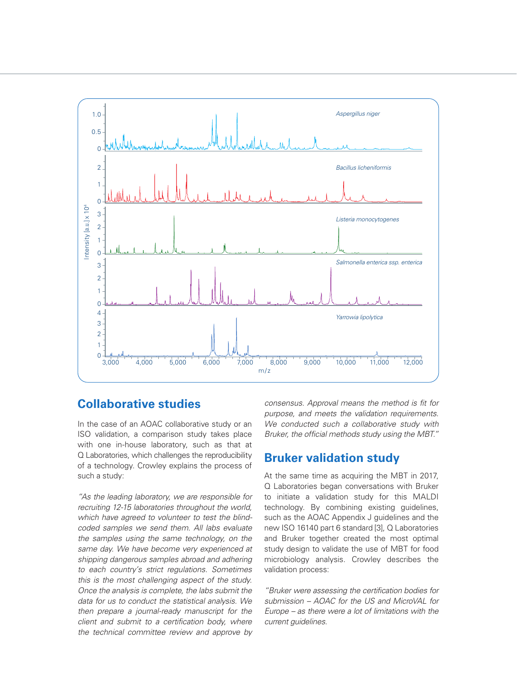

### **Collaborative studies**

In the case of an AOAC collaborative study or an ISO validation, a comparison study takes place with one in-house laboratory, such as that at Q Laboratories, which challenges the reproducibility of a technology. Crowley explains the process of such a study:

*"As the leading laboratory, we are responsible for recruiting 12-15 laboratories throughout the world, which have agreed to volunteer to test the blindcoded samples we send them. All labs evaluate the samples using the same technology, on the same day. We have become very experienced at shipping dangerous samples abroad and adhering to each country's strict regulations. Sometimes this is the most challenging aspect of the study. Once the analysis is complete, the labs submit the data for us to conduct the statistical analysis. We then prepare a journal-ready manuscript for the client and submit to a certification body, where the technical committee review and approve by* 

*consensus. Approval means the method is fit for purpose, and meets the validation requirements. We conducted such a collaborative study with Bruker, the official methods study using the MBT."*

### **Bruker validation study**

At the same time as acquiring the MBT in 2017, Q Laboratories began conversations with Bruker to initiate a validation study for this MALDI technology. By combining existing guidelines, such as the AOAC Appendix J guidelines and the new ISO 16140 part 6 standard [3], Q Laboratories and Bruker together created the most optimal study design to validate the use of MBT for food microbiology analysis. Crowley describes the validation process:

*"Bruker were assessing the certification bodies for submission – AOAC for the US and MicroVAL for Europe – as there were a lot of limitations with the current guidelines.*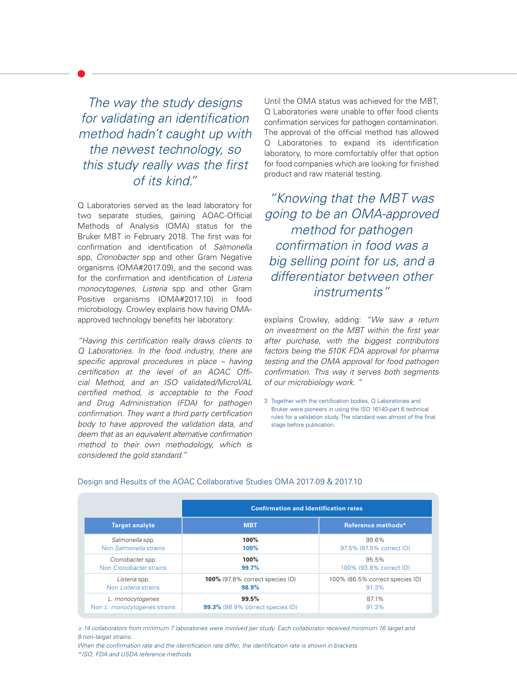*The way the study designs for validating an identification method hadn't caught up with the newest technology, so this study really was the first of its kind."* 

Q Laboratories served as the lead laboratory for two separate studies, gaining AOAC-Official Methods of Analysis (OMA) status for the Bruker MBT in February 2018. The first was for confirmation and identification of *Salmonella* spp, *Cronobacter* spp and other Gram Negative organisms (OMA#2017.09), and the second was for the confirmation and identification of *Listeria monocytogenes*, *Listeria* spp and other Gram Positive organisms (OMA#2017.10) in food microbiology. Crowley explains how having OMAapproved technology benefits her laboratory:

*"Having this certification really draws clients to Q Laboratories. In the food industry, there are specific approval procedures in place – having certification at the level of an AOAC Official Method, and an ISO validated/MicroVAL certified method, is acceptable to the Food and Drug Administration (FDA) for pathogen confirmation. They want a third party certification body to have approved the validation data, and deem that as an equivalent alternative confirmation method to their own methodology, which is considered the gold standard."*

Until the OMA status was achieved for the MBT, Q Laboratories were unable to offer food clients confirmation services for pathogen contamination. The approval of the official method has allowed Q Laboratories to expand its identification laboratory, to more comfortably offer that option for food companies which are looking for finished product and raw material testing.

*"Knowing that the MBT was going to be an OMA-approved method for pathogen confirmation in food was a big selling point for us, and a differentiator between other instruments"* 

explains Crowley, adding: *"We saw a return on investment on the MBT within the first year after purchase, with the biggest contributors factors being the 510K FDA approval for pharma testing and the OMA approval for food pathogen confirmation. This way it serves both segments of our microbiology work. "*

3 Together with the certification bodies, Q Laboratories and Bruker were pioneers in using the ISO 16140-part 6 technical rules for a validation study. The standard was almost of the final stage before publication.

|                                     | <b>Confirmation and Identification rates</b> |                                 |
|-------------------------------------|----------------------------------------------|---------------------------------|
| <b>Target analyte</b>               | <b>MBT</b>                                   | Reference methods*              |
| Salmonella spp.                     | 100%                                         | 99.6%                           |
| Non Salmonella strains              | 100%                                         | 97.5% (87.5% correct ID)        |
| Cronobacter spp.                    | 100%                                         | 95.5%                           |
| Non Cronobacter strains             | 99.7%                                        | 100% (93.8% correct ID)         |
| Listeria spp.                       | <b>100%</b> (97.8% correct species ID)       | 100% (86.5% correct species ID) |
| Non Listeria strains                | 98.9%                                        | 91.3%                           |
| L. monocytogenes                    | 99.5%                                        | 87.1%                           |
| Non <i>L. monocytogenes</i> strains | <b>99.3%</b> (98.9% correct species ID)      | 91.3%                           |

#### Design and Results of the AOAC Collaborative Studies OMA 2017.09 & 2017.10

*≥ 14 collaborators from minimum 7 laboratories were involved per study. Each collaborator received minimum 16 target and 8 non-target strains.* 

*When the confirmation rate and the identification rate differ, the identification rate is shown in brackets. \*ISO, FDA and USDA reference methods.*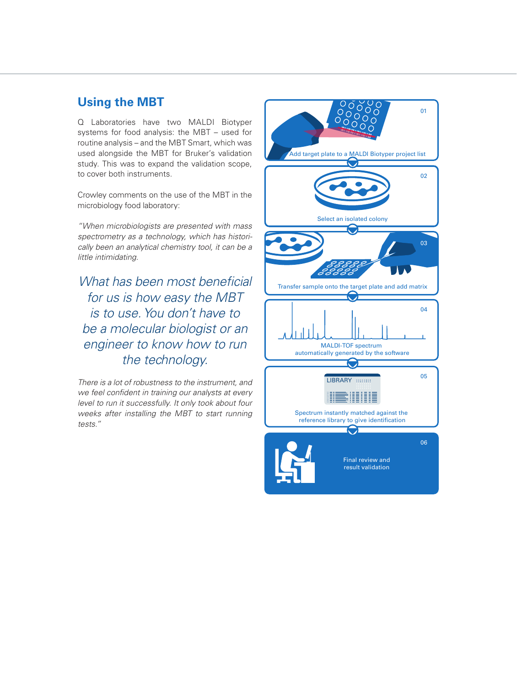## **Using the MBT**

Q Laboratories have two MALDI Biotyper systems for food analysis: the MBT – used for routine analysis – and the MBT Smart, which was used alongside the MBT for Bruker's validation study. This was to expand the validation scope, to cover both instruments.

Crowley comments on the use of the MBT in the microbiology food laboratory:

*"When microbiologists are presented with mass spectrometry as a technology, which has historically been an analytical chemistry tool, it can be a little intimidating.* 

*What has been most beneficial for us is how easy the MBT is to use. You don't have to be a molecular biologist or an engineer to know how to run the technology.* 

*There is a lot of robustness to the instrument, and we feel confident in training our analysts at every level to run it successfully. It only took about four weeks after installing the MBT to start running tests."*

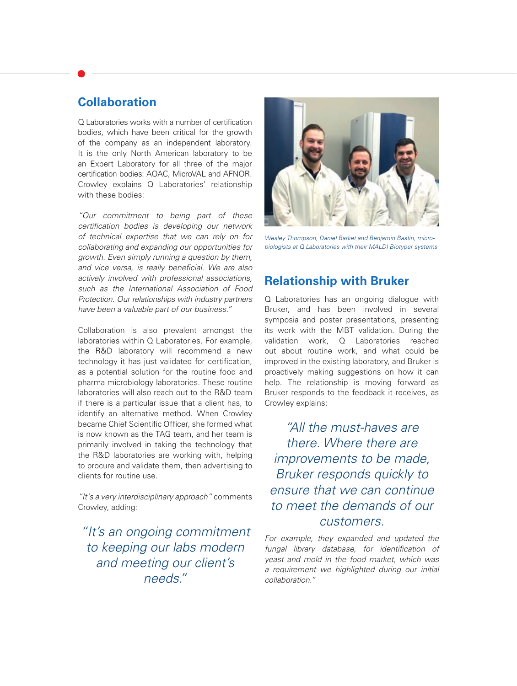## **Collaboration**

Q Laboratories works with a number of certification bodies, which have been critical for the growth of the company as an independent laboratory. It is the only North American laboratory to be an Expert Laboratory for all three of the major certification bodies: AOAC, MicroVAL and AFNOR. Crowley explains Q Laboratories' relationship with these bodies:

*"Our commitment to being part of these certification bodies is developing our network of technical expertise that we can rely on for collaborating and expanding our opportunities for growth. Even simply running a question by them, and vice versa, is really beneficial. We are also actively involved with professional associations, such as the International Association of Food Protection. Our relationships with industry partners have been a valuable part of our business."*

Collaboration is also prevalent amongst the laboratories within Q Laboratories. For example, the R&D laboratory will recommend a new technology it has just validated for certification, as a potential solution for the routine food and pharma microbiology laboratories. These routine laboratories will also reach out to the R&D team if there is a particular issue that a client has, to identify an alternative method. When Crowley became Chief Scientific Officer, she formed what is now known as the TAG team, and her team is primarily involved in taking the technology that the R&D laboratories are working with, helping to procure and validate them, then advertising to clients for routine use.

*"It's a very interdisciplinary approach"* comments Crowley, adding:

*"It's an ongoing commitment to keeping our labs modern and meeting our client's needs."*



*Wesley Thompson, Daniel Barket and Benjamin Bastin, microbiologists at Q Laboratories with their MALDI Biotyper systems*

## **Relationship with Bruker**

Q Laboratories has an ongoing dialogue with Bruker, and has been involved in several symposia and poster presentations, presenting its work with the MBT validation. During the validation work, Q Laboratories reached out about routine work, and what could be improved in the existing laboratory, and Bruker is proactively making suggestions on how it can help. The relationship is moving forward as Bruker responds to the feedback it receives, as Crowley explains:

*"All the must-haves are there. Where there are improvements to be made, Bruker responds quickly to ensure that we can continue to meet the demands of our customers.* 

*For example, they expanded and updated the fungal library database, for identification of yeast and mold in the food market, which was a requirement we highlighted during our initial collaboration."*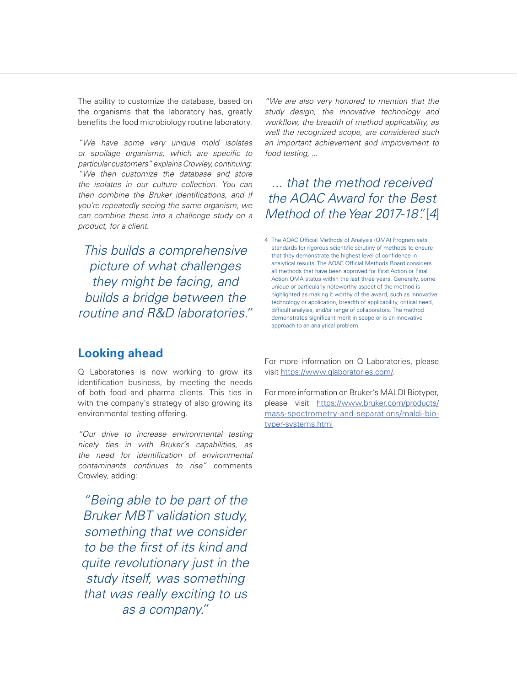The ability to customize the database, based on the organisms that the laboratory has, greatly benefits the food microbiology routine laboratory.

*"We have some very unique mold isolates or spoilage organisms, which are specific to particular customers" explains Crowley, continuing: "We then customize the database and store the isolates in our culture collection. You can then combine the Bruker identifications, and if you're repeatedly seeing the same organism, we can combine these into a challenge study on a product, for a client.* 

*This builds a comprehensive picture of what challenges they might be facing, and builds a bridge between the routine and R&D laboratories."* *"We are also very honored to mention that the study design, the innovative technology and workflow, the breadth of method applicability, as well the recognized scope, are considered such an important achievement and improvement to food testing, ...*

## *... that the method received the AOAC Award for the Best Method of the Year 2017-18".* [*4*]

4 The AOAC Official Methods of Analysis (OMA) Program sets standards for rigorous scientific scrutiny of methods to ensure that they demonstrate the highest level of confidence in analytical results. The AOAC Official Methods Board considers all methods that have been approved for First Action or Final Action OMA status within the last three years. Generally, some unique or particularly noteworthy aspect of the method is highlighted as making it worthy of the award, such as innovative technology or application, breadth of applicability, critical need, difficult analysis, and/or range of collaborators. The method demonstrates significant merit in scope or is an innovative approach to an analytical problem.

## **Looking ahead**

Q Laboratories is now working to grow its identification business, by meeting the needs of both food and pharma clients. This ties in with the company's strategy of also growing its environmental testing offering.

*"Our drive to increase environmental testing nicely ties in with Bruker's capabilities, as the need for identification of environmental contaminants continues to rise"* comments Crowley, adding:

*"Being able to be part of the Bruker MBT validation study, something that we consider to be the first of its kind and quite revolutionary just in the study itself, was something that was really exciting to us as a company."* 

For more information on Q Laboratories, please visit https://www.qlaboratories.com/.

For more information on Bruker's MALDI Biotyper, please visit https://www.bruker.com/products/ mass-spectrometry-and-separations/maldi-biotyper-systems.html